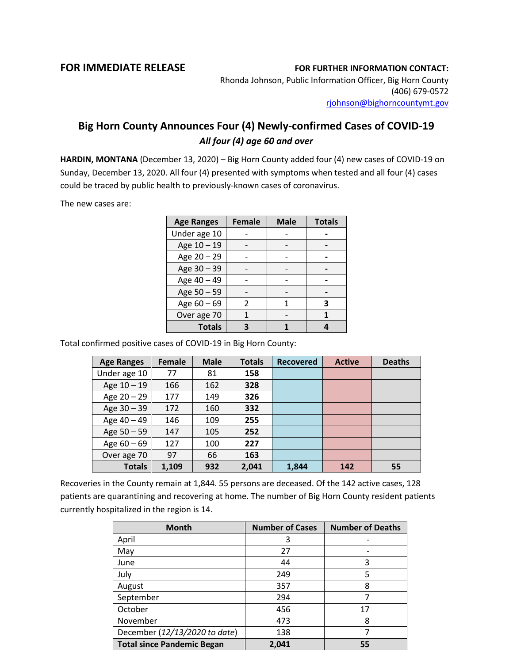## **FOR IMMEDIATE RELEASE FOR FURTHER INFORMATION CONTACT:**

Rhonda Johnson, Public Information Officer, Big Horn County (406) 679-0572 [rjohnson@bighorncountymt.gov](mailto:rjohnson@bighorncountymt.gov)

## **Big Horn County Announces Four (4) Newly-confirmed Cases of COVID-19** *All four (4) age 60 and over*

**HARDIN, MONTANA** (December 13, 2020) – Big Horn County added four (4) new cases of COVID-19 on Sunday, December 13, 2020. All four (4) presented with symptoms when tested and all four (4) cases could be traced by public health to previously-known cases of coronavirus.

The new cases are:

| <b>Age Ranges</b> | <b>Female</b> | <b>Male</b> | <b>Totals</b> |
|-------------------|---------------|-------------|---------------|
| Under age 10      |               |             |               |
| Age 10 - 19       |               |             |               |
| Age 20 - 29       |               |             |               |
| Age 30 - 39       |               |             |               |
| Age 40 - 49       |               |             |               |
| Age 50 - 59       |               |             |               |
| Age 60 - 69       |               |             | 3             |
| Over age 70       |               |             |               |
| <b>Totals</b>     |               |             |               |

Total confirmed positive cases of COVID-19 in Big Horn County:

| <b>Age Ranges</b> | <b>Female</b> | <b>Male</b> | <b>Totals</b> | <b>Recovered</b> | <b>Active</b> | <b>Deaths</b> |
|-------------------|---------------|-------------|---------------|------------------|---------------|---------------|
| Under age 10      | 77            | 81          | 158           |                  |               |               |
| Age 10 - 19       | 166           | 162         | 328           |                  |               |               |
| Age 20 - 29       | 177           | 149         | 326           |                  |               |               |
| Age $30 - 39$     | 172           | 160         | 332           |                  |               |               |
| Age 40 - 49       | 146           | 109         | 255           |                  |               |               |
| Age 50 - 59       | 147           | 105         | 252           |                  |               |               |
| Age $60 - 69$     | 127           | 100         | 227           |                  |               |               |
| Over age 70       | 97            | 66          | 163           |                  |               |               |
| <b>Totals</b>     | 1,109         | 932         | 2,041         | 1,844            | 142           | 55            |

Recoveries in the County remain at 1,844. 55 persons are deceased. Of the 142 active cases, 128 patients are quarantining and recovering at home. The number of Big Horn County resident patients currently hospitalized in the region is 14.

| <b>Month</b>                      | <b>Number of Cases</b> | <b>Number of Deaths</b> |
|-----------------------------------|------------------------|-------------------------|
| April                             | 3                      |                         |
| May                               | 27                     |                         |
| June                              | 44                     | 3                       |
| July                              | 249                    | 5                       |
| August                            | 357                    | 8                       |
| September                         | 294                    |                         |
| October                           | 456                    | 17                      |
| November                          | 473                    | 8                       |
| December (12/13/2020 to date)     | 138                    |                         |
| <b>Total since Pandemic Began</b> | 2,041                  | 55                      |